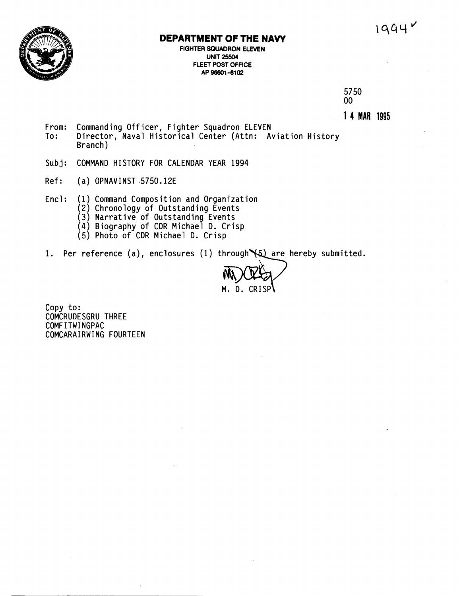## **DEPARTMENT OF THE NAW**

**FIGHTER SOUADRON ELEVEN UNIT 25504 FLEET POST OFFICE AP 96601 -6102** 

> 5750  $00<sub>1</sub>$

**1 4 MAR 1995** 

- **From: Commanding Officer** , **Fighter Squadron ELEVEN To: Director, Naval Historical Center (Attn: Aviation History Branch** )
- **Subj: COMMAND HISTORY FOR CALENDAR YEAR 1994**
- **Ref: (a) OPNAVINST .5750.12E**
- **Encl** : **(1) Command Composition and Organization** 
	- **(2) Chronology of Outstanding Events**
	- **(3) Narrative of Outstanding Events**
	- **(4) Biography** of CDR **Michael** D. **Crisp**
	- **(5) Photo of CDR Michael D. Crisp**
- 1. Per reference (a), enclosures (1) through (5) are hereby submitted.

M. D. CRISP

**Copy to: COMCRUDESGRU THREE COMFITWINGPAC COMCARAIRWING FOURTEEN**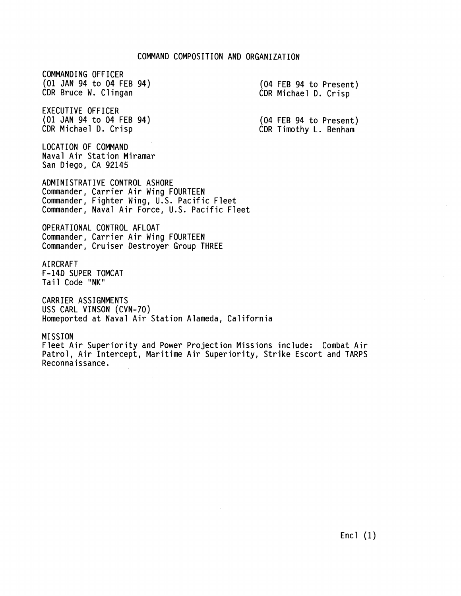COMMANDING OFFICER (01 JAN 94 to 04 FEB 94) CDR Bruce W. Cl ingan

EXECUTIVE OFFICER (01 JAN 94 to 04 FEB 94) CDR Michael D. Crisp

LOCATION OF COMMAND Naval Air Station Miramar San Diego, CA 92145

ADMINISTRATIVE CONTROL ASHORE Commander, Carrier Air Wing FOURTEEN Commander, Fighter Wing, U.S. Pacific Fleet Commander, Naval Air Force, U.S. Pacific Fleet

OPERATIONAL CONTROL AFLOAT Commander, Carrier Air Wing FOURTEEN Commander, Cruiser Destroyer Group THREE

**AIRCRAFT** F-14D SUPER TOMCAT Tail Code "NK"

CARRIER ASSIGNMENTS USS CARL VINSON (CVN-70) Homeported at Naval Air Station Alameda, California

MISSION Fleet Air Superiority and Power Projection Missions include: Combat Air Patrol, Air Intercept, Maritime Air Superiority, Strike Escort and TARPS Reconnaissance.

(04 FEB 94 to Present) CDR Michael D. Crisp

(04 FEB 94 to Present) CDR Timothy L. Benham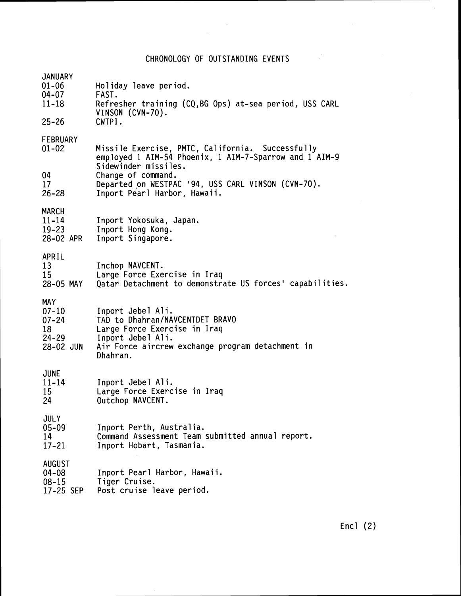CHRONOLOGY OF OUTSTANDING EVENTS

 $\label{eq:2.1} \frac{1}{\sqrt{2\pi}}\frac{1}{\sqrt{2\pi}}\frac{1}{\sqrt{2\pi}}\frac{1}{\sqrt{2\pi}}\frac{1}{\sqrt{2\pi}}\frac{1}{\sqrt{2\pi}}\frac{1}{\sqrt{2\pi}}\frac{1}{\sqrt{2\pi}}\frac{1}{\sqrt{2\pi}}\frac{1}{\sqrt{2\pi}}\frac{1}{\sqrt{2\pi}}\frac{1}{\sqrt{2\pi}}\frac{1}{\sqrt{2\pi}}\frac{1}{\sqrt{2\pi}}\frac{1}{\sqrt{2\pi}}\frac{1}{\sqrt{2\pi}}\frac{1}{\sqrt{2\pi}}\frac{1}{\sqrt$ 

| <b>JANUARY</b><br>$01 - 06$<br>04-07<br>$11 - 18$                    | Holiday leave period.<br>FAST.<br>Refresher training (CQ, BG Ops) at-sea period, USS CARL<br>VINSON (CVN-70).                                                             |
|----------------------------------------------------------------------|---------------------------------------------------------------------------------------------------------------------------------------------------------------------------|
| $25 - 26$                                                            | CWTPI.                                                                                                                                                                    |
| FEBRUARY<br>$01 - 02$                                                | Missile Exercise, PMTC, California. Successfully<br>employed 1 AIM-54 Phoenix, 1 AIM-7-Sparrow and 1 AIM-9<br>Sidewinder missiles.                                        |
| 04<br>17<br>$26 - 28$                                                | Change of command.<br>Departed on WESTPAC '94, USS CARL VINSON (CVN-70).<br>Inport Pearl Harbor, Hawaii.                                                                  |
| <b>MARCH</b><br>$11 - 14$<br>$19 - 23$<br>28-02 APR                  | Inport Yokosuka, Japan.<br>Inport Hong Kong.<br>Inport Singapore.                                                                                                         |
| APRIL<br>13<br>15<br>28-05 MAY                                       | Inchop NAVCENT.<br>Large Force Exercise in Iraq<br>Qatar Detachment to demonstrate US forces' capabilities.                                                               |
| <b>MAY</b><br>$07 - 10$<br>$07 - 24$<br>18<br>$24 - 29$<br>28-02 JUN | Inport Jebel Ali.<br>TAD to Dhahran/NAVCENTDET BRAVO<br>Large Force Exercise in Iraq<br>Inport Jebel Ali.<br>Air Force aircrew exchange program detachment in<br>Dhahran. |
| <b>JUNE</b><br>$11 - 14$<br>15<br>24                                 | Inport Jebel Ali.<br>Large Force Exercise in Iraq<br>Outchop NAVCENT.                                                                                                     |
| <b>JULY</b><br>$05 - 09$<br>14<br>$17 - 21$                          | Inport Perth, Australia.<br>Command Assessment Team submitted annual report.<br>Inport Hobart, Tasmania.                                                                  |
| <b>AUGUST</b><br>$04 - 08$<br>$08 - 15$<br>17-25 SEP                 | Inport Pearl Harbor, Hawaii.<br>Tiger Cruise.<br>Post cruise leave period.                                                                                                |

Encl (2)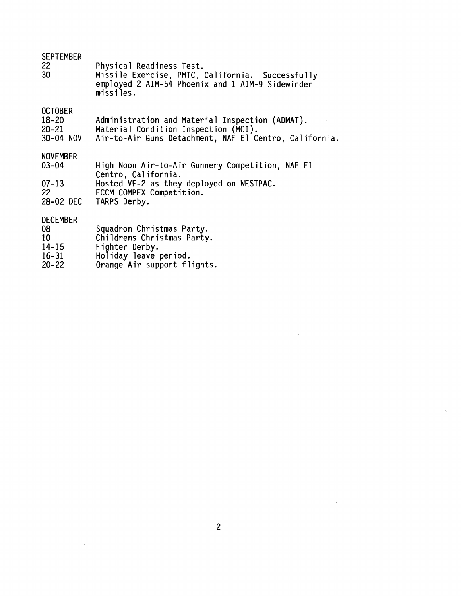| <b>SEPTEMBER</b><br>22<br>30 <sub>2</sub>                          | Physical Readiness Test.<br>Missile Exercise, PMTC, California. Successfully<br>employed 2 AIM-54 Phoenix and 1 AIM-9 Sidewinder<br>missiles.                   |
|--------------------------------------------------------------------|-----------------------------------------------------------------------------------------------------------------------------------------------------------------|
| <b>OCTOBER</b><br>$18 - 20$<br>$20 - 21$<br>30-04 NOV              | Administration and Material Inspection (ADMAT).<br>Material Condition Inspection (MCI).<br>Air-to-Air Guns Detachment, NAF El Centro, California.               |
| <b>NOVEMBER</b><br>$03 - 04$<br>$07 - 13$<br>22<br>28-02 DEC       | High Noon Air-to-Air Gunnery Competition, NAF El<br>Centro, California.<br>Hosted VF-2 as they deployed on WESTPAC.<br>ECCM COMPEX Competition.<br>TARPS Derby. |
| <b>DECEMBER</b><br>08<br>10<br>$14 - 15$<br>$16 - 31$<br>$20 - 22$ | Squadron Christmas Party.<br>Childrens Christmas Party.<br>Fighter Derby.<br>Holiday leave period.<br>Orange Air support flights.                               |

 $\mathcal{L}$ 

 $\overline{2}$ 

 $\mathcal{A}^{\mathcal{A}}$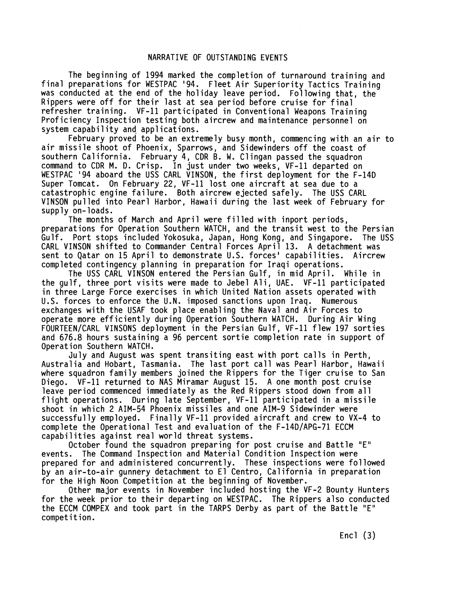## NARRATIVE OF OUTSTANDING EVENTS

The beginning of 1994 marked the completion of turnaround training and final preparations for WESTPAC '94. Fleet Air Superiority Tactics Training was conducted at the end of the holiday leave period. Following that, the Rippers were off for their last at sea period before cruise for final<br>refresher training. VF-11 participated in Conventional Weapons Training Proficiency Inspection testing both aircrew and maintenance personnel on system capability and applications.

February proved to be an extremely busy month, commencing with an air to air missile shoot of Phoenix, Sparrows, and Sidewinders off the coast of southern California. February 4, CDR **B.** W. Clingan passed the squadron command to CDR M. D. Crisp. In just under two weeks, VF-11 departed on WESTPAC '94 aboard the USS CARL VINSON, the first deployment for the F-14D Super Tomcat. On February 22, VF-11 lost one aircraft at sea due to a catastrophic engine failure. Both aircrew ejected safely. The USS CARL VINSON pul led into Pearl Harbor, Hawaii during the last week of February for supply on-loads.

The months of March and April were filled with inport periods, preparations for Operation Southern WATCH, and the transit west to the Persian Gulf. Port stops included Yokosuka, Japan, Hong Kong, and Singapore. The USS CARL VINSON shifted to Commander Central Forces April 13. A detachment was sent to Qatar on 15 April to demonstrate U.S. forces' capabilities. Aircrew completed contingency planning in preparation for Iraqi operations.

The USS CARL VINSON entered the Persian Gulf, in mid April. While in the gulf, three port visits were made to Jebel Ali, UAE. VF-11 participated in three Large Force exercises in which United Nation assets operated with U.S. forces to enforce the U.N. imposed sanctions upon Iraq. Numerous exchanges with the USAF took place enabling the Naval and Air Forces to operate more efficiently during Operation Southern WATCH. During Air Wing FOURTEEN/CARL VINSONS deployment in the Persian Gulf, VF-11 flew 197 sorties and 676.8 hours sustaining a 96 percent sortie completion rate in support of Operation Southern WATCH.

July and August was spent transiting east with port calls in Perth, Australia and Hobart, Tasmania. The last port call was Pearl Harbor, Hawaii where squadron family members joined the Rippers for the Tiger cruise to San Diego. VF-11 returned to NAS Miramar August 15. A one month post cruise leave period commenced immediately as the Red Rippers stood down from all flight operations. During late September, VF-11 participated in a missile shoot in which 2 AIM-54 Phoenix missiles and one AIM-9 Sidewinder were successful ly employed. Finally VF-11 provided aircraft and crew to VX-4 to complete the Operational Test and evaluation of the F-14D/APG-71 ECCM capabilities against real world threat systems.

October found the squadron preparing for post cruise and Battle "E" events. The Command Inspection and Material Condition Inspection were prepared for and administered concurrently. These inspections were followed by an air-to-air gunnery detachment to El Centro, California in preparation for the High Noon Competition at the beginning of November.

Other major events in November included hosting the VF-2 Bounty Hunters for the week prior to their departing on WESTPAC. The Rippers also conducted the ECCM COMPEX and took part in the TARPS Derby as part of the Battle "E" competition.

Encl  $(3)$